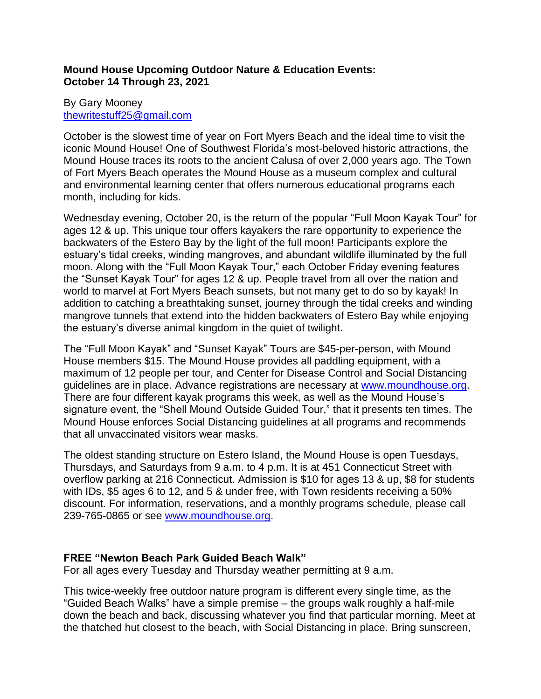# **Mound House Upcoming Outdoor Nature & Education Events: October 14 Through 23, 2021**

#### By Gary Mooney [thewritestuff25@gmail.com](mailto:thewritestuff25@gmail.com)

October is the slowest time of year on Fort Myers Beach and the ideal time to visit the iconic Mound House! One of Southwest Florida's most-beloved historic attractions, the Mound House traces its roots to the ancient Calusa of over 2,000 years ago. The Town of Fort Myers Beach operates the Mound House as a museum complex and cultural and environmental learning center that offers numerous educational programs each month, including for kids.

Wednesday evening, October 20, is the return of the popular "Full Moon Kayak Tour" for ages 12 & up. This unique tour offers kayakers the rare opportunity to experience the backwaters of the Estero Bay by the light of the full moon! Participants explore the estuary's tidal creeks, winding mangroves, and abundant wildlife illuminated by the full moon. Along with the "Full Moon Kayak Tour," each October Friday evening features the "Sunset Kayak Tour" for ages 12 & up. People travel from all over the nation and world to marvel at Fort Myers Beach sunsets, but not many get to do so by kayak! In addition to catching a breathtaking sunset, journey through the tidal creeks and winding mangrove tunnels that extend into the hidden backwaters of Estero Bay while enjoying the estuary's diverse animal kingdom in the quiet of twilight.

The "Full Moon Kayak" and "Sunset Kayak" Tours are \$45-per-person, with Mound House members \$15. The Mound House provides all paddling equipment, with a maximum of 12 people per tour, and Center for Disease Control and Social Distancing guidelines are in place. Advance registrations are necessary at [www.moundhouse.org.](http://www.moundhouse.org/) There are four different kayak programs this week, as well as the Mound House's signature event, the "Shell Mound Outside Guided Tour," that it presents ten times. The Mound House enforces Social Distancing guidelines at all programs and recommends that all unvaccinated visitors wear masks.

The oldest standing structure on Estero Island, the Mound House is open Tuesdays, Thursdays, and Saturdays from 9 a.m. to 4 p.m. It is at 451 Connecticut Street with overflow parking at 216 Connecticut. Admission is \$10 for ages 13 & up, \$8 for students with IDs, \$5 ages 6 to 12, and 5 & under free, with Town residents receiving a 50% discount. For information, reservations, and a monthly programs schedule, please call 239-765-0865 or see [www.moundhouse.org.](http://www.moundhouse.org/)

# **FREE "Newton Beach Park Guided Beach Walk"**

For all ages every Tuesday and Thursday weather permitting at 9 a.m.

This twice-weekly free outdoor nature program is different every single time, as the "Guided Beach Walks" have a simple premise – the groups walk roughly a half-mile down the beach and back, discussing whatever you find that particular morning. Meet at the thatched hut closest to the beach, with Social Distancing in place. Bring sunscreen,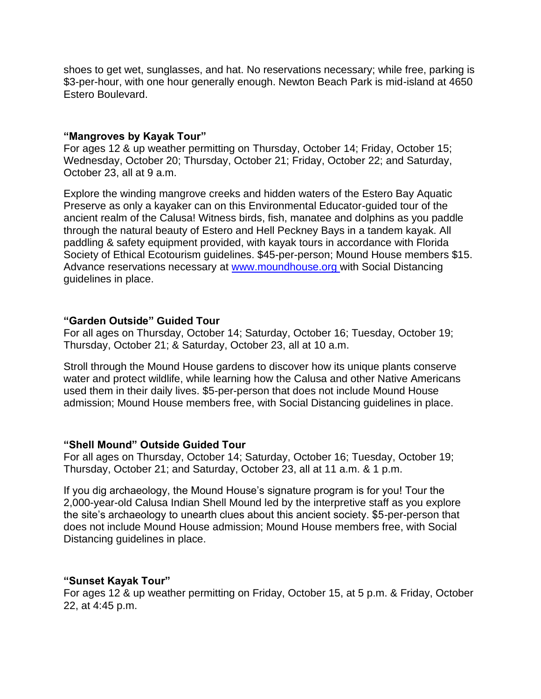shoes to get wet, sunglasses, and hat. No reservations necessary; while free, parking is \$3-per-hour, with one hour generally enough. Newton Beach Park is mid-island at 4650 Estero Boulevard.

#### **"Mangroves by Kayak Tour"**

For ages 12 & up weather permitting on Thursday, October 14; Friday, October 15; Wednesday, October 20; Thursday, October 21; Friday, October 22; and Saturday, October 23, all at 9 a.m.

Explore the winding mangrove creeks and hidden waters of the Estero Bay Aquatic Preserve as only a kayaker can on this Environmental Educator-guided tour of the ancient realm of the Calusa! Witness birds, fish, manatee and dolphins as you paddle through the natural beauty of Estero and Hell Peckney Bays in a tandem kayak. All paddling & safety equipment provided, with kayak tours in accordance with Florida Society of Ethical Ecotourism guidelines. \$45-per-person; Mound House members \$15. Advance reservations necessary at [www.moundhouse.org](http://www.moundhouse.org/) with Social Distancing guidelines in place.

# **"Garden Outside" Guided Tour**

For all ages on Thursday, October 14; Saturday, October 16; Tuesday, October 19; Thursday, October 21; & Saturday, October 23, all at 10 a.m.

Stroll through the Mound House gardens to discover how its unique plants conserve water and protect wildlife, while learning how the Calusa and other Native Americans used them in their daily lives. \$5-per-person that does not include Mound House admission; Mound House members free, with Social Distancing guidelines in place.

# **"Shell Mound" Outside Guided Tour**

For all ages on Thursday, October 14; Saturday, October 16; Tuesday, October 19; Thursday, October 21; and Saturday, October 23, all at 11 a.m. & 1 p.m.

If you dig archaeology, the Mound House's signature program is for you! Tour the 2,000-year-old Calusa Indian Shell Mound led by the interpretive staff as you explore the site's archaeology to unearth clues about this ancient society. \$5-per-person that does not include Mound House admission; Mound House members free, with Social Distancing guidelines in place.

# **"Sunset Kayak Tour"**

For ages 12 & up weather permitting on Friday, October 15, at 5 p.m. & Friday, October 22, at 4:45 p.m.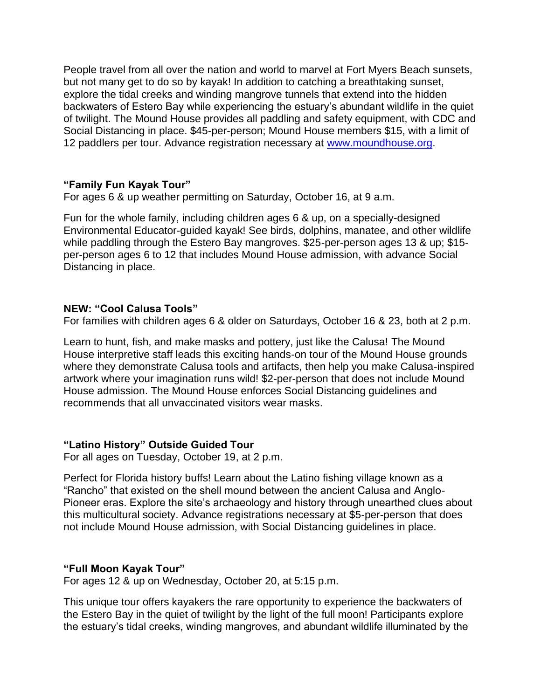People travel from all over the nation and world to marvel at Fort Myers Beach sunsets, but not many get to do so by kayak! In addition to catching a breathtaking sunset, explore the tidal creeks and winding mangrove tunnels that extend into the hidden backwaters of Estero Bay while experiencing the estuary's abundant wildlife in the quiet of twilight. The Mound House provides all paddling and safety equipment, with CDC and Social Distancing in place. \$45-per-person; Mound House members \$15, with a limit of 12 paddlers per tour. Advance registration necessary at [www.moundhouse.org.](http://www.moundhouse.org/)

# **"Family Fun Kayak Tour"**

For ages 6 & up weather permitting on Saturday, October 16, at 9 a.m.

Fun for the whole family, including children ages 6 & up, on a specially-designed Environmental Educator-guided kayak! See birds, dolphins, manatee, and other wildlife while paddling through the Estero Bay mangroves. \$25-per-person ages 13 & up; \$15per-person ages 6 to 12 that includes Mound House admission, with advance Social Distancing in place.

#### **NEW: "Cool Calusa Tools"**

For families with children ages 6 & older on Saturdays, October 16 & 23, both at 2 p.m.

Learn to hunt, fish, and make masks and pottery, just like the Calusa! The Mound House interpretive staff leads this exciting hands-on tour of the Mound House grounds where they demonstrate Calusa tools and artifacts, then help you make Calusa-inspired artwork where your imagination runs wild! \$2-per-person that does not include Mound House admission. The Mound House enforces Social Distancing guidelines and recommends that all unvaccinated visitors wear masks.

#### **"Latino History" Outside Guided Tour**

For all ages on Tuesday, October 19, at 2 p.m.

Perfect for Florida history buffs! Learn about the Latino fishing village known as a "Rancho" that existed on the shell mound between the ancient Calusa and Anglo-Pioneer eras. Explore the site's archaeology and history through unearthed clues about this multicultural society. Advance registrations necessary at \$5-per-person that does not include Mound House admission, with Social Distancing guidelines in place.

#### **"Full Moon Kayak Tour"**

For ages 12 & up on Wednesday, October 20, at 5:15 p.m.

This unique tour offers kayakers the rare opportunity to experience the backwaters of the Estero Bay in the quiet of twilight by the light of the full moon! Participants explore the estuary's tidal creeks, winding mangroves, and abundant wildlife illuminated by the